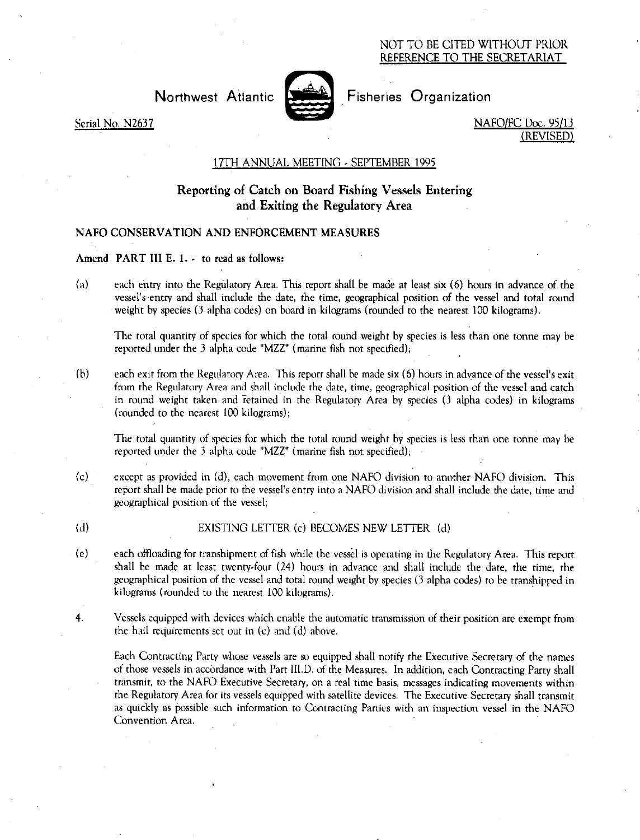## NOT TO BE CITED WITHOUT PRIOR REFERENCE TO THE SECRETARIAT



Northwest Atlantic **Notifiantly** Fisheries Organization

Serial No. N2637 NAFO/FC Doc. 95/13 (REVISED)

# 17TH ANNUAL MEETING - SEPTEMBER 1995

# Reporting of Catch on Board Fishing Vessels Entering and Exiting the Regulatory Area

# NAFO CONSERVATION AND ENFORCEMENT MEASURES

## Amend PART III E. 1. - to read as follows:

(a) each entry into the Regulatory Area. This report shall be made at least six (6) hours in advance of the vessel's entry and shall include the date, the time, geographical position of the vessel and total round weight by species (3 alpha codes) on board in kilograms (rounded to the nearest 100 kilograms).

The total quantity of species for which the total round weight by species is less than one tonne may be reported under the 3 alpha code "MZZ" (marine fish not specified);

(h) each exit from the Regulatory Area. This report shall be made six (6) hours in advance of the vessel's exit from the Regulatory Area and shall include the date, time, geographical position of the vessel and catch in round weight taken and retained in the Regulatory Area by species (3 alpha codes) in kilograms (rounded to the nearest 100 kilograms);

The total quantity of species for which the total round weight by species is less than one tonne may be reported under the 3 alpha code "MZZ" (marine fish not specified);

- (c) except as provided in (d), each movement from one NAFO division to another NAFO division. This report shall he made prior to the vessel's entry into a NAFO division and shall include the date, time and geographical position of the vessel;
- 

(d) EXISTING LETTER (c) BECOMES NEW LETTER (d)

- (e) each offloading for transhipment of fish while the vessel is operating in the Regulatory Area. This report shall be made at least twenty-four (24) hours in advance and shall include the date, the time, the geographical position of the vessel and total round weight by species (3 alpha codes) to be transhipped in kilograms (rounded to the nearest 100 kilograms).
- 4. Vessels equipped with devices which enable the automatic transmission of their position are exempt from the hail requirements set out in (c) and (d) above.

Each Contracting Party whose vessels are so equipped shall notify the Executive Secretary of the names of those vessels in accordance with Part III.D. of the Measures. In addition, each Contracting Party shall transmit, to the NAFO Executive Secretary, on a real time basis, messages indicating movements within the Regulatory Area for its vessels equipped with satellite devices. The Executive Secretary shall transmit as quickly as possible such information to Contracting Parties with an inspection vessel in the NAFO Convention Area.